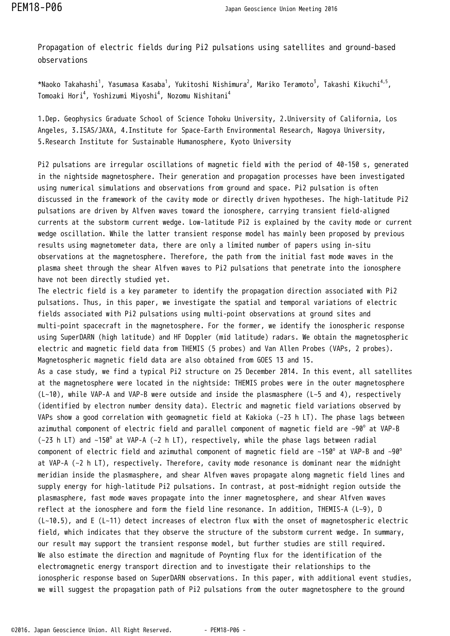Propagation of electric fields during Pi2 pulsations using satellites and ground-based observations

\*Naoko Takahashi<sup>1</sup>, Yasumasa Kasaba<sup>1</sup>, Yukitoshi Nishimura<sup>2</sup>, Mariko Teramoto<sup>3</sup>, Takashi Kikuchi<sup>4,5</sup>, Tomoaki Hori<sup>4</sup>, Yoshizumi Miyoshi<sup>4</sup>, Nozomu Nishitani<sup>4</sup>

1.Dep. Geophysics Graduate School of Science Tohoku University, 2.University of California, Los Angeles, 3.ISAS/JAXA, 4.Institute for Space-Earth Environmental Research, Nagoya University, 5.Research Institute for Sustainable Humanosphere, Kyoto University

Pi2 pulsations are irregular oscillations of magnetic field with the period of 40-150 s, generated in the nightside magnetosphere. Their generation and propagation processes have been investigated using numerical simulations and observations from ground and space. Pi2 pulsation is often discussed in the framework of the cavity mode or directly driven hypotheses. The high-latitude Pi2 pulsations are driven by Alfven waves toward the ionosphere, carrying transient field-aligned currents at the substorm current wedge. Low-latitude Pi2 is explained by the cavity mode or current wedge oscillation. While the latter transient response model has mainly been proposed by previous results using magnetometer data, there are only a limited number of papers using in-situ observations at the magnetosphere. Therefore, the path from the initial fast mode waves in the plasma sheet through the shear Alfven waves to Pi2 pulsations that penetrate into the ionosphere have not been directly studied yet.

The electric field is a key parameter to identify the propagation direction associated with Pi2 pulsations. Thus, in this paper, we investigate the spatial and temporal variations of electric fields associated with Pi2 pulsations using multi-point observations at ground sites and multi-point spacecraft in the magnetosphere. For the former, we identify the ionospheric response using SuperDARN (high latitude) and HF Doppler (mid latitude) radars. We obtain the magnetospheric electric and magnetic field data from THEMIS (5 probes) and Van Allen Probes (VAPs, 2 probes). Magnetospheric magnetic field data are also obtained from GOES 13 and 15. As a case study, we find a typical Pi2 structure on 25 December 2014. In this event, all satellites at the magnetosphere were located in the nightside: THEMIS probes were in the outer magnetosphere  $(L~10)$ , while VAP-A and VAP-B were outside and inside the plasmasphere ( $L~5$  and 4), respectively (identified by electron number density data). Electric and magnetic field variations observed by VAPs show a good correlation with geomagnetic field at Kakioka (~23 h LT). The phase lags between azimuthal component of electric field and parallel component of magnetic field are ~90 $^{\circ}$  at VAP-B  $\sim$ 23 h LT) and ~150° at VAP-A (~2 h LT), respectively, while the phase lags between radial component of electric field and azimuthal component of magnetic field are  $~150^{\circ}$  at VAP-B and  $~90^{\circ}$ at VAP-A (~2 h LT), respectively. Therefore, cavity mode resonance is dominant near the midnight meridian inside the plasmasphere, and shear Alfven waves propagate along magnetic field lines and supply energy for high-latitude Pi2 pulsations. In contrast, at post-midnight region outside the plasmasphere, fast mode waves propagate into the inner magnetosphere, and shear Alfven waves reflect at the ionosphere and form the field line resonance. In addition, THEMIS-A (L~9), D (L~10.5), and E (L~11) detect increases of electron flux with the onset of magnetospheric electric field, which indicates that they observe the structure of the substorm current wedge. In summary, our result may support the transient response model, but further studies are still required. We also estimate the direction and magnitude of Poynting flux for the identification of the electromagnetic energy transport direction and to investigate their relationships to the ionospheric response based on SuperDARN observations. In this paper, with additional event studies, we will suggest the propagation path of Pi2 pulsations from the outer magnetosphere to the ground